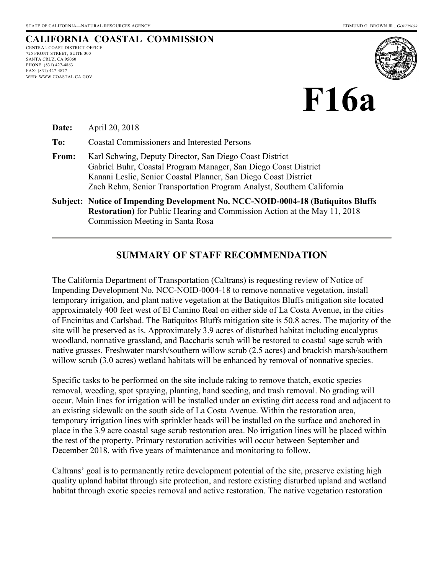#### **CALIFORNIA COASTAL COMMISSION** CENTRAL COAST DISTRICT OFFICE

725 FRONT STREET, SUITE 300 SANTA CRUZ, CA 95060 PHONE: (831) 427-4863 FAX: (831) 427-4877 WEB: WWW.COASTAL.CA.GOV





**Date:** April 20, 2018

**To:** Coastal Commissioners and Interested Persons

- **From:** Karl Schwing, Deputy Director, San Diego Coast District Gabriel Buhr, Coastal Program Manager, San Diego Coast District Kanani Leslie, Senior Coastal Planner, San Diego Coast District Zach Rehm, Senior Transportation Program Analyst, Southern California
- **Subject: Notice of Impending Development No. NCC-NOID-0004-18 (Batiquitos Bluffs Restoration)** for Public Hearing and Commission Action at the May 11, 2018 Commission Meeting in Santa Rosa

#### **SUMMARY OF STAFF RECOMMENDATION**

The California Department of Transportation (Caltrans) is requesting review of Notice of Impending Development No. NCC-NOID-0004-18 to remove nonnative vegetation, install temporary irrigation, and plant native vegetation at the Batiquitos Bluffs mitigation site located approximately 400 feet west of El Camino Real on either side of La Costa Avenue, in the cities of Encinitas and Carlsbad. The Batiquitos Bluffs mitigation site is 50.8 acres. The majority of the site will be preserved as is. Approximately 3.9 acres of disturbed habitat including eucalyptus woodland, nonnative grassland, and Baccharis scrub will be restored to coastal sage scrub with native grasses. Freshwater marsh/southern willow scrub (2.5 acres) and brackish marsh/southern willow scrub (3.0 acres) wetland habitats will be enhanced by removal of nonnative species.

Specific tasks to be performed on the site include raking to remove thatch, exotic species removal, weeding, spot spraying, planting, hand seeding, and trash removal. No grading will occur. Main lines for irrigation will be installed under an existing dirt access road and adjacent to an existing sidewalk on the south side of La Costa Avenue. Within the restoration area, temporary irrigation lines with sprinkler heads will be installed on the surface and anchored in place in the 3.9 acre coastal sage scrub restoration area. No irrigation lines will be placed within the rest of the property. Primary restoration activities will occur between September and December 2018, with five years of maintenance and monitoring to follow.

Caltrans' goal is to permanently retire development potential of the site, preserve existing high quality upland habitat through site protection, and restore existing disturbed upland and wetland habitat through exotic species removal and active restoration. The native vegetation restoration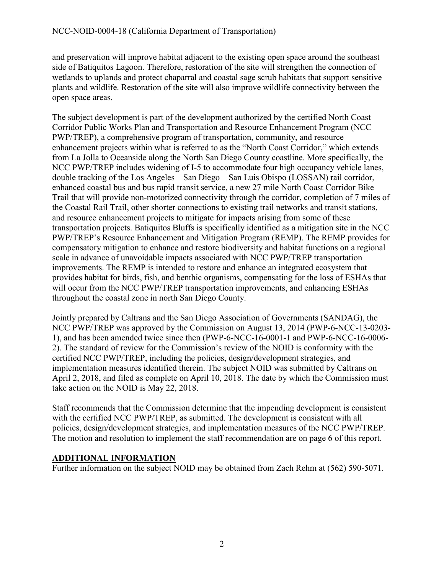and preservation will improve habitat adjacent to the existing open space around the southeast side of Batiquitos Lagoon. Therefore, restoration of the site will strengthen the connection of wetlands to uplands and protect chaparral and coastal sage scrub habitats that support sensitive plants and wildlife. Restoration of the site will also improve wildlife connectivity between the open space areas.

The subject development is part of the development authorized by the certified North Coast Corridor Public Works Plan and Transportation and Resource Enhancement Program (NCC PWP/TREP), a comprehensive program of transportation, community, and resource enhancement projects within what is referred to as the "North Coast Corridor," which extends from La Jolla to Oceanside along the North San Diego County coastline. More specifically, the NCC PWP/TREP includes widening of I-5 to accommodate four high occupancy vehicle lanes, double tracking of the Los Angeles – San Diego – San Luis Obispo (LOSSAN) rail corridor, enhanced coastal bus and bus rapid transit service, a new 27 mile North Coast Corridor Bike Trail that will provide non-motorized connectivity through the corridor, completion of 7 miles of the Coastal Rail Trail, other shorter connections to existing trail networks and transit stations, and resource enhancement projects to mitigate for impacts arising from some of these transportation projects. Batiquitos Bluffs is specifically identified as a mitigation site in the NCC PWP/TREP's Resource Enhancement and Mitigation Program (REMP). The REMP provides for compensatory mitigation to enhance and restore biodiversity and habitat functions on a regional scale in advance of unavoidable impacts associated with NCC PWP/TREP transportation improvements. The REMP is intended to restore and enhance an integrated ecosystem that provides habitat for birds, fish, and benthic organisms, compensating for the loss of ESHAs that will occur from the NCC PWP/TREP transportation improvements, and enhancing ESHAs throughout the coastal zone in north San Diego County.

Jointly prepared by Caltrans and the San Diego Association of Governments (SANDAG), the NCC PWP/TREP was approved by the Commission on August 13, 2014 (PWP-6-NCC-13-0203- 1), and has been amended twice since then (PWP-6-NCC-16-0001-1 and PWP-6-NCC-16-0006- 2). The standard of review for the Commission's review of the NOID is conformity with the certified NCC PWP/TREP, including the policies, design/development strategies, and implementation measures identified therein. The subject NOID was submitted by Caltrans on April 2, 2018, and filed as complete on April 10, 2018. The date by which the Commission must take action on the NOID is May 22, 2018.

Staff recommends that the Commission determine that the impending development is consistent with the certified NCC PWP/TREP, as submitted. The development is consistent with all policies, design/development strategies, and implementation measures of the NCC PWP/TREP. The motion and resolution to implement the staff recommendation are on page 6 of this report.

#### **ADDITIONAL INFORMATION**

Further information on the subject NOID may be obtained from Zach Rehm at (562) 590-5071.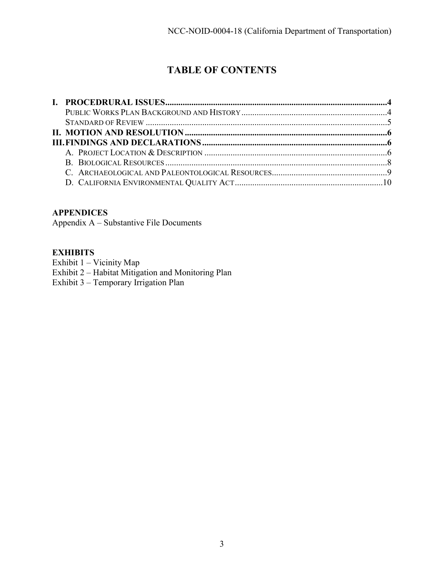# **TABLE OF CONTENTS**

#### **APPENDICES**

Appendix A – Substantive File Documents

#### **EXHIBITS**

Exhibit 1 – Vicinity Map

- [Exhibit 2 Habitat Mitigation and Monitoring Plan](https://documents.coastal.ca.gov/reports/2018/5/F16a/F16a-5-2018-exhibits.pdf)
- Exhibit 3 Temporary Irrigation Plan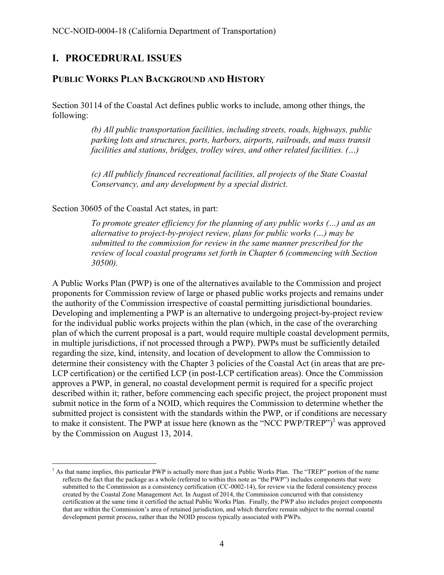# <span id="page-3-0"></span>**I. PROCEDRURAL ISSUES**

#### <span id="page-3-1"></span>**PUBLIC WORKS PLAN BACKGROUND AND HISTORY**

Section 30114 of the Coastal Act defines public works to include, among other things, the following:

> *(b) All public transportation facilities, including streets, roads, highways, public parking lots and structures, ports, harbors, airports, railroads, and mass transit facilities and stations, bridges, trolley wires, and other related facilities. (…)*

*(c) All publicly financed recreational facilities, all projects of the State Coastal Conservancy, and any development by a special district.* 

Section 30605 of the Coastal Act states, in part:

*To promote greater efficiency for the planning of any public works (…) and as an alternative to project-by-project review, plans for public works (…) may be submitted to the commission for review in the same manner prescribed for the review of local coastal programs set forth in Chapter 6 (commencing with Section 30500).* 

A Public Works Plan (PWP) is one of the alternatives available to the Commission and project proponents for Commission review of large or phased public works projects and remains under the authority of the Commission irrespective of coastal permitting jurisdictional boundaries. Developing and implementing a PWP is an alternative to undergoing project-by-project review for the individual public works projects within the plan (which, in the case of the overarching plan of which the current proposal is a part, would require multiple coastal development permits, in multiple jurisdictions, if not processed through a PWP). PWPs must be sufficiently detailed regarding the size, kind, intensity, and location of development to allow the Commission to determine their consistency with the Chapter 3 policies of the Coastal Act (in areas that are pre-LCP certification) or the certified LCP (in post-LCP certification areas). Once the Commission approves a PWP, in general, no coastal development permit is required for a specific project described within it; rather, before commencing each specific project, the project proponent must submit notice in the form of a NOID, which requires the Commission to determine whether the submitted project is consistent with the standards within the PWP, or if conditions are necessary to make it consistent. The PWP at issue here (known as the "NCC PWP/TREP")<sup>1</sup> was approved by the Commission on August 13, 2014.

 $\overline{a}$ <sup>1</sup> As that name implies, this particular PWP is actually more than just a Public Works Plan. The "TREP" portion of the name reflects the fact that the package as a whole (referred to within this note as "the PWP") includes components that were submitted to the Commission as a consistency certification (CC-0002-14), for review via the federal consistency process created by the Coastal Zone Management Act. In August of 2014, the Commission concurred with that consistency certification at the same time it certified the actual Public Works Plan. Finally, the PWP also includes project components that are within the Commission's area of retained jurisdiction, and which therefore remain subject to the normal coastal development permit process, rather than the NOID process typically associated with PWPs.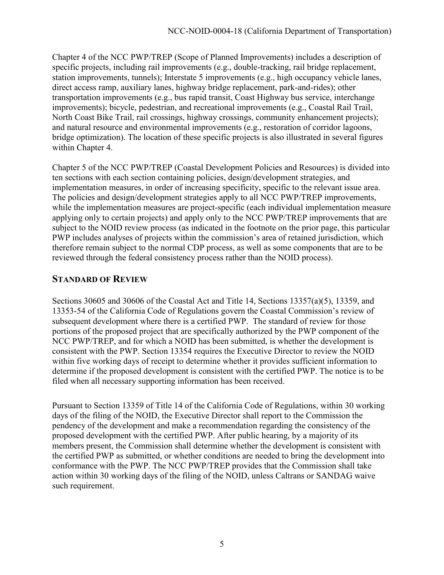Chapter 4 of the NCC PWP/TREP (Scope of Planned Improvements) includes a description of specific projects, including rail improvements (e.g., double-tracking, rail bridge replacement, station improvements, tunnels); Interstate 5 improvements (e.g., high occupancy vehicle lanes, direct access ramp, auxiliary lanes, highway bridge replacement, park-and-rides); other transportation improvements (e.g., bus rapid transit, Coast Highway bus service, interchange improvements); bicycle, pedestrian, and recreational improvements (e.g., Coastal Rail Trail, North Coast Bike Trail, rail crossings, highway crossings, community enhancement projects); and natural resource and environmental improvements (e.g., restoration of corridor lagoons, bridge optimization). The location of these specific projects is also illustrated in several figures within Chapter 4.

Chapter 5 of the NCC PWP/TREP (Coastal Development Policies and Resources) is divided into ten sections with each section containing policies, design/development strategies, and implementation measures, in order of increasing specificity, specific to the relevant issue area. The policies and design/development strategies apply to all NCC PWP/TREP improvements, while the implementation measures are project-specific (each individual implementation measure applying only to certain projects) and apply only to the NCC PWP/TREP improvements that are subject to the NOID review process (as indicated in the footnote on the prior page, this particular PWP includes analyses of projects within the commission's area of retained jurisdiction, which therefore remain subject to the normal CDP process, as well as some components that are to be reviewed through the federal consistency process rather than the NOID process).

# <span id="page-4-0"></span>**STANDARD OF REVIEW**

Sections 30605 and 30606 of the Coastal Act and Title 14, Sections 13357(a)(5), 13359, and 13353-54 of the California Code of Regulations govern the Coastal Commission's review of subsequent development where there is a certified PWP. The standard of review for those portions of the proposed project that are specifically authorized by the PWP component of the NCC PWP/TREP, and for which a NOID has been submitted, is whether the development is consistent with the PWP. Section 13354 requires the Executive Director to review the NOID within five working days of receipt to determine whether it provides sufficient information to determine if the proposed development is consistent with the certified PWP. The notice is to be filed when all necessary supporting information has been received.

Pursuant to Section 13359 of Title 14 of the California Code of Regulations, within 30 working days of the filing of the NOID, the Executive Director shall report to the Commission the pendency of the development and make a recommendation regarding the consistency of the proposed development with the certified PWP. After public hearing, by a majority of its members present, the Commission shall determine whether the development is consistent with the certified PWP as submitted, or whether conditions are needed to bring the development into conformance with the PWP. The NCC PWP/TREP provides that the Commission shall take action within 30 working days of the filing of the NOID, unless Caltrans or SANDAG waive such requirement.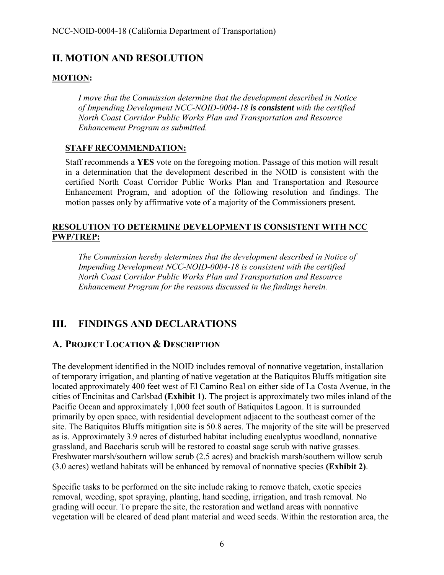# <span id="page-5-0"></span>**II. MOTION AND RESOLUTION**

#### **MOTION:**

*I move that the Commission determine that the development described in Notice of Impending Development NCC-NOID-0004-18 is consistent with the certified North Coast Corridor Public Works Plan and Transportation and Resource Enhancement Program as submitted.*

#### **STAFF RECOMMENDATION:**

Staff recommends a **YES** vote on the foregoing motion. Passage of this motion will result in a determination that the development described in the NOID is consistent with the certified North Coast Corridor Public Works Plan and Transportation and Resource Enhancement Program, and adoption of the following resolution and findings. The motion passes only by affirmative vote of a majority of the Commissioners present.

#### **RESOLUTION TO DETERMINE DEVELOPMENT IS CONSISTENT WITH NCC PWP/TREP:**

*The Commission hereby determines that the development described in Notice of Impending Development NCC-NOID-0004-18 is consistent with the certified North Coast Corridor Public Works Plan and Transportation and Resource Enhancement Program for the reasons discussed in the findings herein.* 

# <span id="page-5-1"></span>**III. FINDINGS AND DECLARATIONS**

### <span id="page-5-2"></span>**A. PROJECT LOCATION & DESCRIPTION**

The development identified in the NOID includes removal of nonnative vegetation, installation of temporary irrigation, and planting of native vegetation at the Batiquitos Bluffs mitigation site located approximately 400 feet west of El Camino Real on either side of La Costa Avenue, in the cities of Encinitas and Carlsbad **([Exhibit 1](https://documents.coastal.ca.gov/reports/2018/5/F16a/F16a-5-2018-exhibits.pdf))**. The project is approximately two miles inland of the Pacific Ocean and approximately 1,000 feet south of Batiquitos Lagoon. It is surrounded primarily by open space, with residential development adjacent to the southeast corner of the site. The Batiquitos Bluffs mitigation site is 50.8 acres. The majority of the site will be preserved as is. Approximately 3.9 acres of disturbed habitat including eucalyptus woodland, nonnative grassland, and Baccharis scrub will be restored to coastal sage scrub with native grasses. Freshwater marsh/southern willow scrub (2.5 acres) and brackish marsh/southern willow scrub (3.0 acres) wetland habitats will be enhanced by removal of nonnative species **([Exhibit 2\)](https://documents.coastal.ca.gov/reports/2018/5/F16a/F16a-5-2018-exhibits.pdf)**.

Specific tasks to be performed on the site include raking to remove thatch, exotic species removal, weeding, spot spraying, planting, hand seeding, irrigation, and trash removal. No grading will occur. To prepare the site, the restoration and wetland areas with nonnative vegetation will be cleared of dead plant material and weed seeds. Within the restoration area, the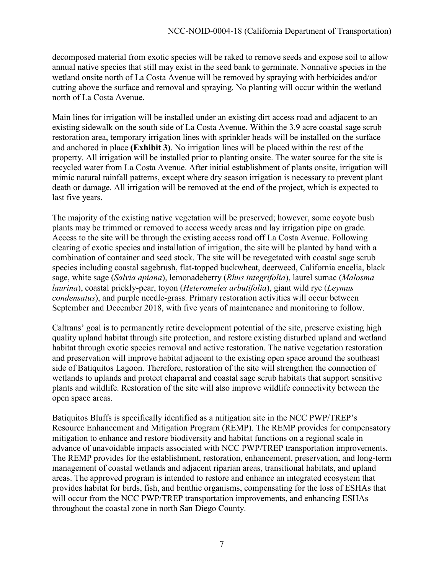decomposed material from exotic species will be raked to remove seeds and expose soil to allow annual native species that still may exist in the seed bank to germinate. Nonnative species in the wetland onsite north of La Costa Avenue will be removed by spraying with herbicides and/or cutting above the surface and removal and spraying. No planting will occur within the wetland north of La Costa Avenue.

Main lines for irrigation will be installed under an existing dirt access road and adjacent to an existing sidewalk on the south side of La Costa Avenue. Within the 3.9 acre coastal sage scrub restoration area, temporary irrigation lines with sprinkler heads will be installed on the surface and anchored in place **([Exhibit 3](https://documents.coastal.ca.gov/reports/2018/5/F16a/F16a-5-2018-exhibits.pdf))**. No irrigation lines will be placed within the rest of the property. All irrigation will be installed prior to planting onsite. The water source for the site is recycled water from La Costa Avenue. After initial establishment of plants onsite, irrigation will mimic natural rainfall patterns, except where dry season irrigation is necessary to prevent plant death or damage. All irrigation will be removed at the end of the project, which is expected to last five years.

The majority of the existing native vegetation will be preserved; however, some coyote bush plants may be trimmed or removed to access weedy areas and lay irrigation pipe on grade. Access to the site will be through the existing access road off La Costa Avenue. Following clearing of exotic species and installation of irrigation, the site will be planted by hand with a combination of container and seed stock. The site will be revegetated with coastal sage scrub species including coastal sagebrush, flat-topped buckwheat, deerweed, California encelia, black sage, white sage (*Salvia apiana*), lemonadeberry (*Rhus integrifolia*), laurel sumac (*Malosma laurina*), coastal prickly-pear, toyon (*Heteromeles arbutifolia*), giant wild rye (*Leymus condensatus*), and purple needle-grass. Primary restoration activities will occur between September and December 2018, with five years of maintenance and monitoring to follow.

Caltrans' goal is to permanently retire development potential of the site, preserve existing high quality upland habitat through site protection, and restore existing disturbed upland and wetland habitat through exotic species removal and active restoration. The native vegetation restoration and preservation will improve habitat adjacent to the existing open space around the southeast side of Batiquitos Lagoon. Therefore, restoration of the site will strengthen the connection of wetlands to uplands and protect chaparral and coastal sage scrub habitats that support sensitive plants and wildlife. Restoration of the site will also improve wildlife connectivity between the open space areas.

Batiquitos Bluffs is specifically identified as a mitigation site in the NCC PWP/TREP's Resource Enhancement and Mitigation Program (REMP). The REMP provides for compensatory mitigation to enhance and restore biodiversity and habitat functions on a regional scale in advance of unavoidable impacts associated with NCC PWP/TREP transportation improvements. The REMP provides for the establishment, restoration, enhancement, preservation, and long-term management of coastal wetlands and adjacent riparian areas, transitional habitats, and upland areas. The approved program is intended to restore and enhance an integrated ecosystem that provides habitat for birds, fish, and benthic organisms, compensating for the loss of ESHAs that will occur from the NCC PWP/TREP transportation improvements, and enhancing ESHAs throughout the coastal zone in north San Diego County.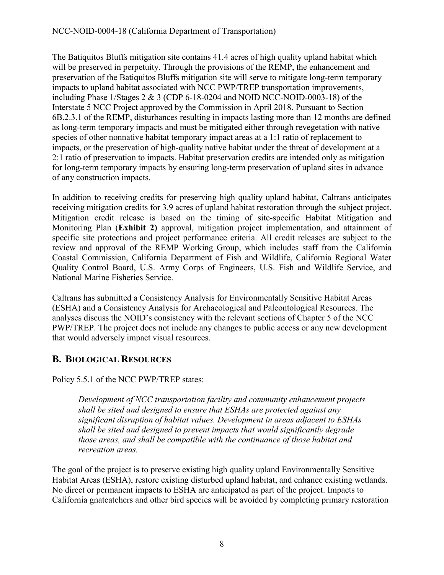#### NCC-NOID-0004-18 (California Department of Transportation)

The Batiquitos Bluffs mitigation site contains 41.4 acres of high quality upland habitat which will be preserved in perpetuity. Through the provisions of the REMP, the enhancement and preservation of the Batiquitos Bluffs mitigation site will serve to mitigate long-term temporary impacts to upland habitat associated with NCC PWP/TREP transportation improvements, including Phase 1/Stages 2 & 3 (CDP 6-18-0204 and NOID NCC-NOID-0003-18) of the Interstate 5 NCC Project approved by the Commission in April 2018. Pursuant to Section 6B.2.3.1 of the REMP, disturbances resulting in impacts lasting more than 12 months are defined as long-term temporary impacts and must be mitigated either through revegetation with native species of other nonnative habitat temporary impact areas at a 1:1 ratio of replacement to impacts, or the preservation of high-quality native habitat under the threat of development at a 2:1 ratio of preservation to impacts. Habitat preservation credits are intended only as mitigation for long-term temporary impacts by ensuring long-term preservation of upland sites in advance of any construction impacts.

In addition to receiving credits for preserving high quality upland habitat, Caltrans anticipates receiving mitigation credits for 3.9 acres of upland habitat restoration through the subject project. Mitigation credit release is based on the timing of site-specific Habitat Mitigation and Monitoring Plan (**[Exhibit 2\)](https://documents.coastal.ca.gov/reports/2018/5/F16a/F16a-5-2018-exhibits.pdf)** approval, mitigation project implementation, and attainment of specific site protections and project performance criteria. All credit releases are subject to the review and approval of the REMP Working Group, which includes staff from the California Coastal Commission, California Department of Fish and Wildlife, California Regional Water Quality Control Board, U.S. Army Corps of Engineers, U.S. Fish and Wildlife Service, and National Marine Fisheries Service.

Caltrans has submitted a Consistency Analysis for Environmentally Sensitive Habitat Areas (ESHA) and a Consistency Analysis for Archaeological and Paleontological Resources. The analyses discuss the NOID's consistency with the relevant sections of Chapter 5 of the NCC PWP/TREP. The project does not include any changes to public access or any new development that would adversely impact visual resources.

# <span id="page-7-0"></span>**B. BIOLOGICAL RESOURCES**

Policy 5.5.1 of the NCC PWP/TREP states:

*Development of NCC transportation facility and community enhancement projects shall be sited and designed to ensure that ESHAs are protected against any significant disruption of habitat values. Development in areas adjacent to ESHAs shall be sited and designed to prevent impacts that would significantly degrade those areas, and shall be compatible with the continuance of those habitat and recreation areas.* 

The goal of the project is to preserve existing high quality upland Environmentally Sensitive Habitat Areas (ESHA), restore existing disturbed upland habitat, and enhance existing wetlands. No direct or permanent impacts to ESHA are anticipated as part of the project. Impacts to California gnatcatchers and other bird species will be avoided by completing primary restoration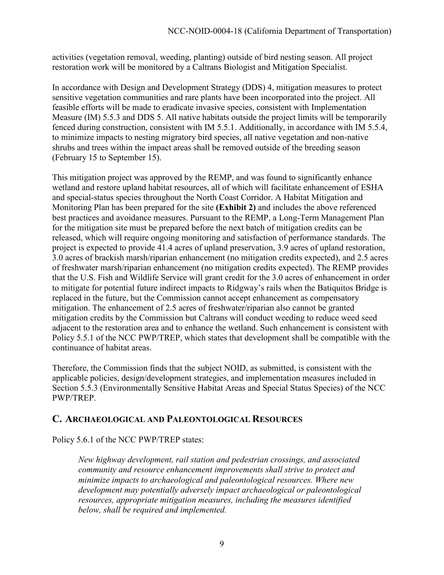activities (vegetation removal, weeding, planting) outside of bird nesting season. All project restoration work will be monitored by a Caltrans Biologist and Mitigation Specialist.

In accordance with Design and Development Strategy (DDS) 4, mitigation measures to protect sensitive vegetation communities and rare plants have been incorporated into the project. All feasible efforts will be made to eradicate invasive species, consistent with Implementation Measure (IM) 5.5.3 and DDS 5. All native habitats outside the project limits will be temporarily fenced during construction, consistent with IM 5.5.1. Additionally, in accordance with IM 5.5.4, to minimize impacts to nesting migratory bird species, all native vegetation and non-native shrubs and trees within the impact areas shall be removed outside of the breeding season (February 15 to September 15).

This mitigation project was approved by the REMP, and was found to significantly enhance wetland and restore upland habitat resources, all of which will facilitate enhancement of ESHA and special-status species throughout the North Coast Corridor. A Habitat Mitigation and Monitoring Plan has been prepared for the site **([Exhibit 2\)](https://documents.coastal.ca.gov/reports/2018/5/F16a/F16a-5-2018-exhibits.pdf)** and includes the above referenced best practices and avoidance measures. Pursuant to the REMP, a Long-Term Management Plan for the mitigation site must be prepared before the next batch of mitigation credits can be released, which will require ongoing monitoring and satisfaction of performance standards. The project is expected to provide 41.4 acres of upland preservation, 3.9 acres of upland restoration, 3.0 acres of brackish marsh/riparian enhancement (no mitigation credits expected), and 2.5 acres of freshwater marsh/riparian enhancement (no mitigation credits expected). The REMP provides that the U.S. Fish and Wildlife Service will grant credit for the 3.0 acres of enhancement in order to mitigate for potential future indirect impacts to Ridgway's rails when the Batiquitos Bridge is replaced in the future, but the Commission cannot accept enhancement as compensatory mitigation. The enhancement of 2.5 acres of freshwater/riparian also cannot be granted mitigation credits by the Commission but Caltrans will conduct weeding to reduce weed seed adjacent to the restoration area and to enhance the wetland. Such enhancement is consistent with Policy 5.5.1 of the NCC PWP/TREP, which states that development shall be compatible with the continuance of habitat areas.

Therefore, the Commission finds that the subject NOID, as submitted, is consistent with the applicable policies, design/development strategies, and implementation measures included in Section 5.5.3 (Environmentally Sensitive Habitat Areas and Special Status Species) of the NCC PWP/TREP.

### <span id="page-8-0"></span>**C. ARCHAEOLOGICAL AND PALEONTOLOGICAL RESOURCES**

Policy 5.6.1 of the NCC PWP/TREP states:

*New highway development, rail station and pedestrian crossings, and associated community and resource enhancement improvements shall strive to protect and minimize impacts to archaeological and paleontological resources. Where new development may potentially adversely impact archaeological or paleontological resources, appropriate mitigation measures, including the measures identified below, shall be required and implemented.*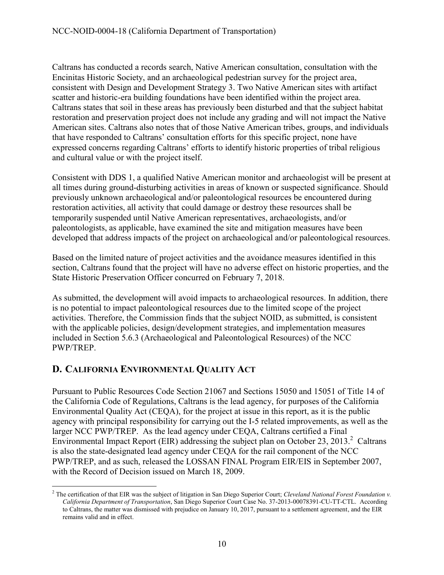Caltrans has conducted a records search, Native American consultation, consultation with the Encinitas Historic Society, and an archaeological pedestrian survey for the project area, consistent with Design and Development Strategy 3. Two Native American sites with artifact scatter and historic-era building foundations have been identified within the project area. Caltrans states that soil in these areas has previously been disturbed and that the subject habitat restoration and preservation project does not include any grading and will not impact the Native American sites. Caltrans also notes that of those Native American tribes, groups, and individuals that have responded to Caltrans' consultation efforts for this specific project, none have expressed concerns regarding Caltrans' efforts to identify historic properties of tribal religious and cultural value or with the project itself.

Consistent with DDS 1, a qualified Native American monitor and archaeologist will be present at all times during ground-disturbing activities in areas of known or suspected significance. Should previously unknown archaeological and/or paleontological resources be encountered during restoration activities, all activity that could damage or destroy these resources shall be temporarily suspended until Native American representatives, archaeologists, and/or paleontologists, as applicable, have examined the site and mitigation measures have been developed that address impacts of the project on archaeological and/or paleontological resources.

Based on the limited nature of project activities and the avoidance measures identified in this section, Caltrans found that the project will have no adverse effect on historic properties, and the State Historic Preservation Officer concurred on February 7, 2018.

As submitted, the development will avoid impacts to archaeological resources. In addition, there is no potential to impact paleontological resources due to the limited scope of the project activities. Therefore, the Commission finds that the subject NOID, as submitted, is consistent with the applicable policies, design/development strategies, and implementation measures included in Section 5.6.3 (Archaeological and Paleontological Resources) of the NCC PWP/TREP.

# <span id="page-9-0"></span>**D. CALIFORNIA ENVIRONMENTAL QUALITY ACT**

Pursuant to Public Resources Code Section 21067 and Sections 15050 and 15051 of Title 14 of the California Code of Regulations, Caltrans is the lead agency, for purposes of the California Environmental Quality Act (CEQA), for the project at issue in this report, as it is the public agency with principal responsibility for carrying out the I-5 related improvements, as well as the larger NCC PWP/TREP. As the lead agency under CEQA, Caltrans certified a Final Environmental Impact Report (EIR) addressing the subject plan on October 23, 2013.<sup>2</sup> Caltrans is also the state-designated lead agency under CEQA for the rail component of the NCC PWP/TREP, and as such, released the LOSSAN FINAL Program EIR/EIS in September 2007, with the Record of Decision issued on March 18, 2009.

 $\overline{a}$ <sup>2</sup> The certification of that EIR was the subject of litigation in San Diego Superior Court; *Cleveland National Forest Foundation v. California Department of Transportation*, San Diego Superior Court Case No. 37-2013-00078391-CU-TT-CTL. According to Caltrans, the matter was dismissed with prejudice on January 10, 2017, pursuant to a settlement agreement, and the EIR remains valid and in effect.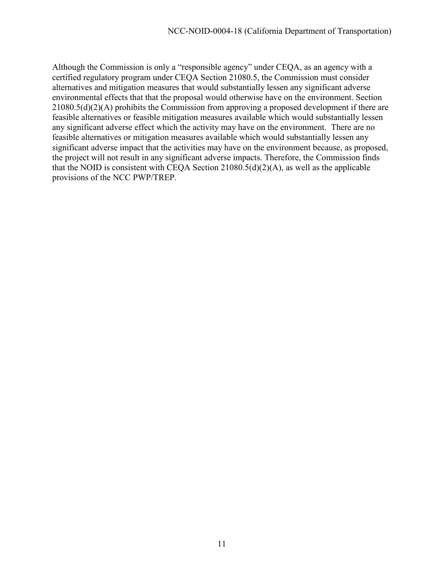Although the Commission is only a "responsible agency" under CEQA, as an agency with a certified regulatory program under CEQA Section 21080.5, the Commission must consider alternatives and mitigation measures that would substantially lessen any significant adverse environmental effects that that the proposal would otherwise have on the environment. Section 21080.5(d)(2)(A) prohibits the Commission from approving a proposed development if there are feasible alternatives or feasible mitigation measures available which would substantially lessen any significant adverse effect which the activity may have on the environment. There are no feasible alternatives or mitigation measures available which would substantially lessen any significant adverse impact that the activities may have on the environment because, as proposed, the project will not result in any significant adverse impacts. Therefore, the Commission finds that the NOID is consistent with CEQA Section  $21080.5(d)(2)(A)$ , as well as the applicable provisions of the NCC PWP/TREP.